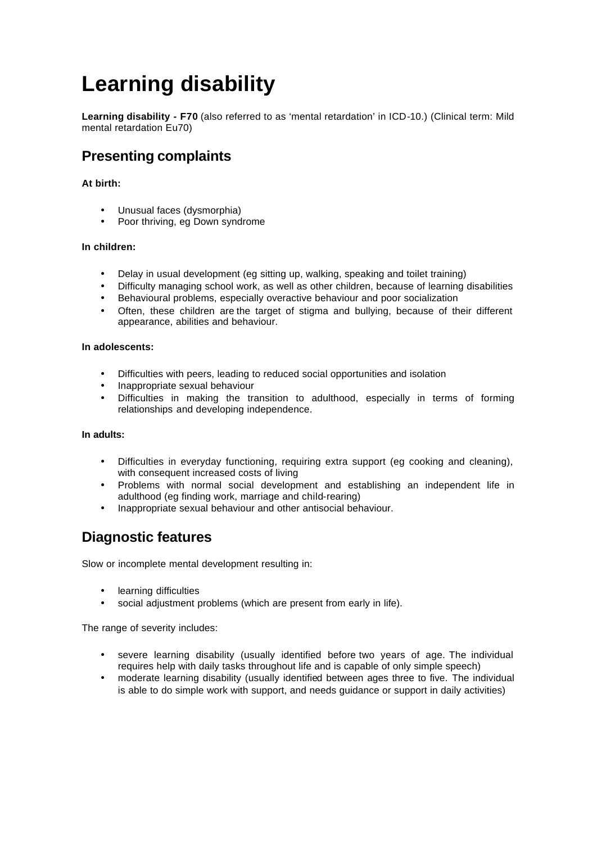# **Learning disability**

**Learning disability - F70** (also referred to as 'mental retardation' in ICD-10.) (Clinical term: Mild mental retardation Eu70)

# **Presenting complaints**

### **At birth:**

- Unusual faces (dysmorphia)
- Poor thriving, eg Down syndrome

### **In children:**

- Delay in usual development (eg sitting up, walking, speaking and toilet training)
- Difficulty managing school work, as well as other children, because of learning disabilities
- Behavioural problems, especially overactive behaviour and poor socialization
- Often, these children are the target of stigma and bullying, because of their different appearance, abilities and behaviour.

### **In adolescents:**

- Difficulties with peers, leading to reduced social opportunities and isolation
- Inappropriate sexual behaviour
- Difficulties in making the transition to adulthood, especially in terms of forming relationships and developing independence.

### **In adults:**

- Difficulties in everyday functioning, requiring extra support (eg cooking and cleaning), with consequent increased costs of living
- Problems with normal social development and establishing an independent life in adulthood (eg finding work, marriage and child-rearing)
- Inappropriate sexual behaviour and other antisocial behaviour.

# **Diagnostic features**

Slow or incomplete mental development resulting in:

- learning difficulties
- social adjustment problems (which are present from early in life).

The range of severity includes:

- severe learning disability (usually identified before two years of age. The individual requires help with daily tasks throughout life and is capable of only simple speech)
- moderate learning disability (usually identified between ages three to five. The individual is able to do simple work with support, and needs guidance or support in daily activities)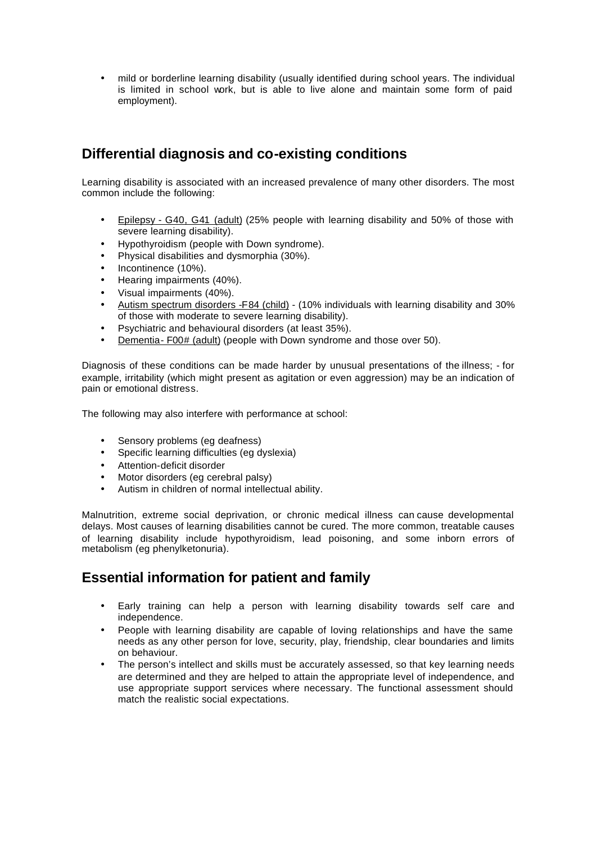• mild or borderline learning disability (usually identified during school years. The individual is limited in school work, but is able to live alone and maintain some form of paid employment).

# **Differential diagnosis and co-existing conditions**

Learning disability is associated with an increased prevalence of many other disorders. The most common include the following:

- Epilepsy G40, G41 (adult) (25% people with learning disability and 50% of those with severe learning disability).
- Hypothyroidism (people with Down syndrome).
- Physical disabilities and dysmorphia (30%).
- Incontinence (10%).
- Hearing impairments (40%).
- Visual impairments (40%).
- Autism spectrum disorders -F84 (child) (10% individuals with learning disability and 30% of those with moderate to severe learning disability).
- Psychiatric and behavioural disorders (at least 35%).
- Dementia- F00# (adult) (people with Down syndrome and those over 50).

Diagnosis of these conditions can be made harder by unusual presentations of the illness; - for example, irritability (which might present as agitation or even aggression) may be an indication of pain or emotional distress.

The following may also interfere with performance at school:

- Sensory problems (eg deafness)
- Specific learning difficulties (eg dyslexia)
- Attention-deficit disorder
- Motor disorders (eg cerebral palsy)
- Autism in children of normal intellectual ability.

Malnutrition, extreme social deprivation, or chronic medical illness can cause developmental delays. Most causes of learning disabilities cannot be cured. The more common, treatable causes of learning disability include hypothyroidism, lead poisoning, and some inborn errors of metabolism (eg phenylketonuria).

## **Essential information for patient and family**

- Early training can help a person with learning disability towards self care and independence.
- People with learning disability are capable of loving relationships and have the same needs as any other person for love, security, play, friendship, clear boundaries and limits on behaviour.
- The person's intellect and skills must be accurately assessed, so that key learning needs are determined and they are helped to attain the appropriate level of independence, and use appropriate support services where necessary. The functional assessment should match the realistic social expectations.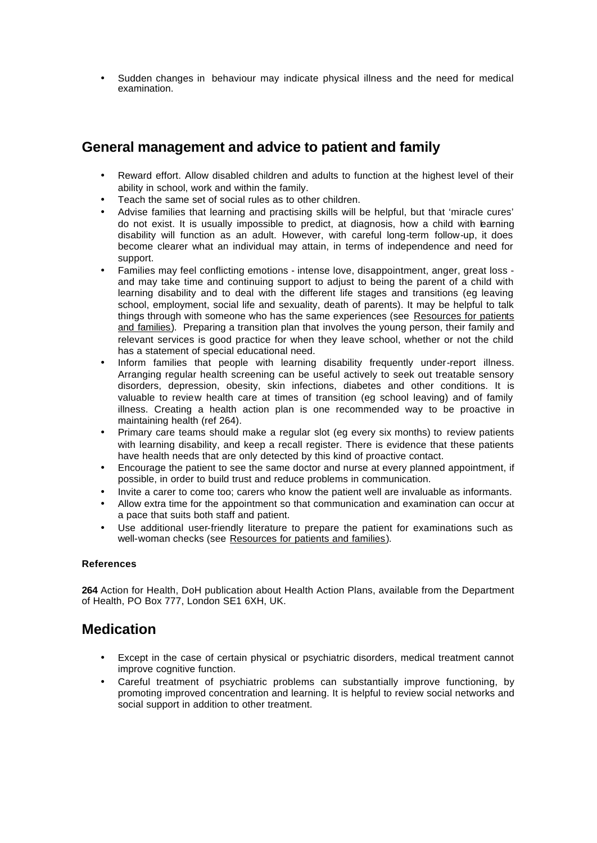• Sudden changes in behaviour may indicate physical illness and the need for medical examination.

# **General management and advice to patient and family**

- Reward effort. Allow disabled children and adults to function at the highest level of their ability in school, work and within the family.
- Teach the same set of social rules as to other children.
- Advise families that learning and practising skills will be helpful, but that 'miracle cures' do not exist. It is usually impossible to predict, at diagnosis, how a child with learning disability will function as an adult. However, with careful long-term follow-up, it does become clearer what an individual may attain, in terms of independence and need for support.
- Families may feel conflicting emotions intense love, disappointment, anger, great loss and may take time and continuing support to adjust to being the parent of a child with learning disability and to deal with the different life stages and transitions (eg leaving school, employment, social life and sexuality, death of parents). It may be helpful to talk things through with someone who has the same experiences (see Resources for patients and families). Preparing a transition plan that involves the young person, their family and relevant services is good practice for when they leave school, whether or not the child has a statement of special educational need.
- Inform families that people with learning disability frequently under-report illness. Arranging regular health screening can be useful actively to seek out treatable sensory disorders, depression, obesity, skin infections, diabetes and other conditions. It is valuable to review health care at times of transition (eg school leaving) and of family illness. Creating a health action plan is one recommended way to be proactive in maintaining health (ref 264).
- Primary care teams should make a regular slot (eg every six months) to review patients with learning disability, and keep a recall register. There is evidence that these patients have health needs that are only detected by this kind of proactive contact.
- Encourage the patient to see the same doctor and nurse at every planned appointment, if possible, in order to build trust and reduce problems in communication.
- Invite a carer to come too; carers who know the patient well are invaluable as informants.
- Allow extra time for the appointment so that communication and examination can occur at a pace that suits both staff and patient.
- Use additional user-friendly literature to prepare the patient for examinations such as well-woman checks (see Resources for patients and families).

### **References**

**264** Action for Health, DoH publication about Health Action Plans, available from the Department of Health, PO Box 777, London SE1 6XH, UK.

## **Medication**

- Except in the case of certain physical or psychiatric disorders, medical treatment cannot improve cognitive function.
- Careful treatment of psychiatric problems can substantially improve functioning, by promoting improved concentration and learning. It is helpful to review social networks and social support in addition to other treatment.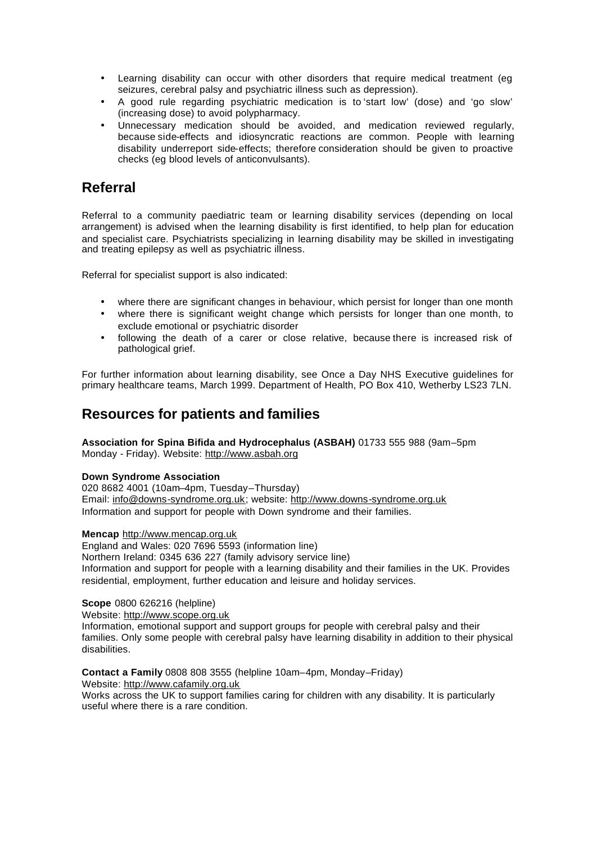- Learning disability can occur with other disorders that require medical treatment (eg seizures, cerebral palsy and psychiatric illness such as depression).
- A good rule regarding psychiatric medication is to 'start low' (dose) and 'go slow' (increasing dose) to avoid polypharmacy.
- Unnecessary medication should be avoided, and medication reviewed regularly, because side-effects and idiosyncratic reactions are common. People with learning disability underreport side-effects; therefore consideration should be given to proactive checks (eg blood levels of anticonvulsants).

# **Referral**

Referral to a community paediatric team or learning disability services (depending on local arrangement) is advised when the learning disability is first identified, to help plan for education and specialist care. Psychiatrists specializing in learning disability may be skilled in investigating and treating epilepsy as well as psychiatric illness.

Referral for specialist support is also indicated:

- where there are significant changes in behaviour, which persist for longer than one month
- where there is significant weight change which persists for longer than one month, to exclude emotional or psychiatric disorder
- following the death of a carer or close relative, because there is increased risk of pathological grief.

For further information about learning disability, see Once a Day NHS Executive guidelines for primary healthcare teams, March 1999. Department of Health, PO Box 410, Wetherby LS23 7LN.

## **Resources for patients and families**

**Association for Spina Bifida and Hydrocephalus (ASBAH)** 01733 555 988 (9am–5pm Monday - Friday). Website: http://www.asbah.org

### **Down Syndrome Association**

020 8682 4001 (10am–4pm, Tuesday–Thursday) Email: info@downs-syndrome.org.uk; website: http://www.downs-syndrome.org.uk Information and support for people with Down syndrome and their families.

#### **Mencap** http://www.mencap.org.uk

England and Wales: 020 7696 5593 (information line) Northern Ireland: 0345 636 227 (family advisory service line) Information and support for people with a learning disability and their families in the UK. Provides residential, employment, further education and leisure and holiday services.

#### **Scope** 0800 626216 (helpline)

Website: http://www.scope.org.uk

Information, emotional support and support groups for people with cerebral palsy and their families. Only some people with cerebral palsy have learning disability in addition to their physical disabilities.

**Contact a Family** 0808 808 3555 (helpline 10am–4pm, Monday–Friday) Website: http://www.cafamily.org.uk

Works across the UK to support families caring for children with any disability. It is particularly useful where there is a rare condition.